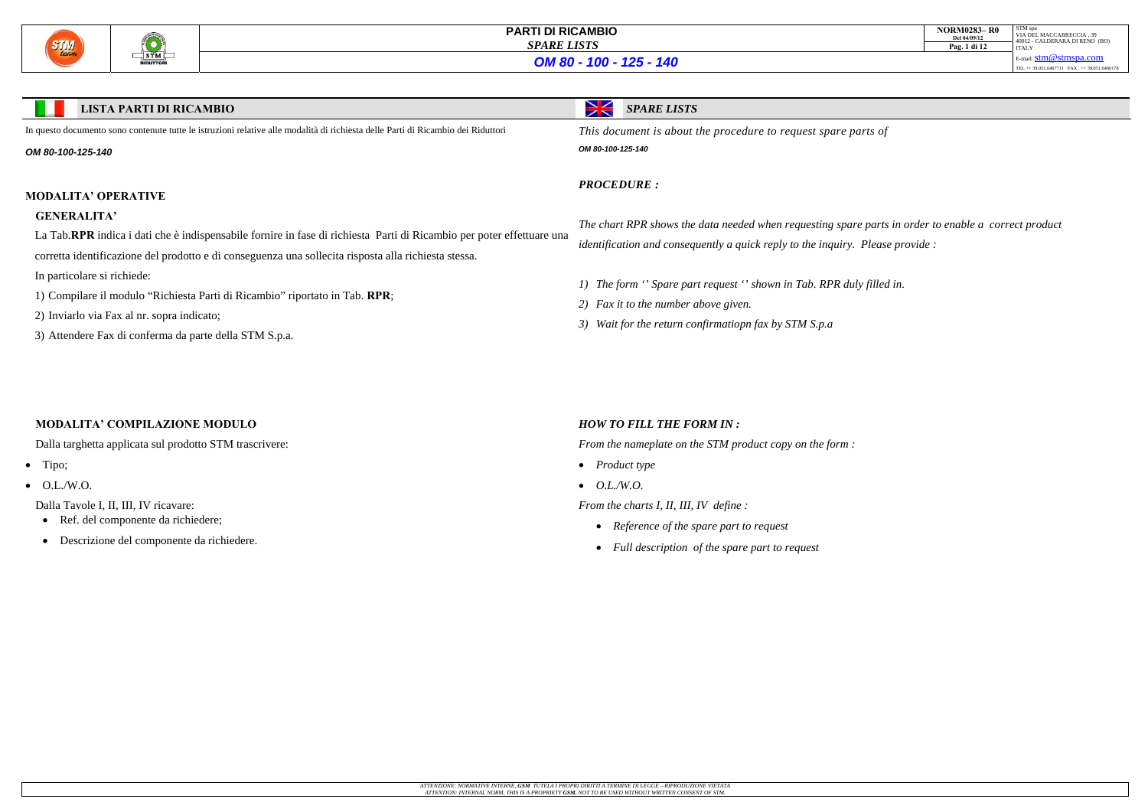

| <b>NORM0283-R0</b><br>Del 04/09/12<br>Pag. 1 di 12 | STM spa<br>VIA DEL MACCABRECCIA, 39<br>40012 - CALDERARA DI RENO (BO)<br><b>ITALY</b> |
|----------------------------------------------------|---------------------------------------------------------------------------------------|
|                                                    | E-mail: $stm@stmspa.com$                                                              |
|                                                    | TEL ++ 39.051.6467711 FAX ++ 39.051.6466178                                           |

#### **LISTA PARTI DI RICAMBIO**

*SPARE LISTS*

In questo documento sono contenute tutte le istruzioni relative alle modalità di richiesta delle Parti di Ricambio dei Riduttori

#### *OM 80-100-125-140*

### **MODALITA' OPERATIVE**

### **GENERALITA'**

La Tab.**RPR** indica i dati che è indispensabile fornire in fase di richiesta Parti di Ricambio per poter effettuare una

corretta identificazione del prodotto e di conseguenza una sollecita risposta alla richiesta stessa.

- Ref. del componente da richiedere;
- Descrizione del componente da richiedere.
- In particolare si richiede:
- 1) Compilare il modulo "Richiesta Parti di Ricambio" riportato in Tab. **RPR**;
- 2) Inviarlo via Fax al nr. sopra indicato;
- 3) Attendere Fax di conferma da parte della STM S.p.a.

*This document is about the procedure to request spare parts of* 

*OM 80-100-125-140*

*PROCEDURE :* 

*The chart RPR shows the data needed when requesting spare parts in order to enable a correct product identification and consequently a quick reply to the inquiry. Please provide :* 

*1) The form '' Spare part request '' shown in Tab. RPR duly filled in.* 

*2) Fax it to the number above given.* 

*3) Wait for the return confirmatiopn fax by STM S.p.a* 

### **MODALITA' COMPILAZIONE MODULO**

Dalla targhetta applicata sul prodotto STM trascrivere:

- $\bullet$  Tipo;
- $\bullet$  O.L./W.O.

Dalla Tavole I, II, III, IV ricavare:

### *HOW TO FILL THE FORM IN :*

*From the nameplate on the STM product copy on the form :* 

- *Product type*
- *O.L./W.O.*

*From the charts I, II, III, IV define :* 

- *Reference of the spare part to request*
- *Full description of the spare part to request*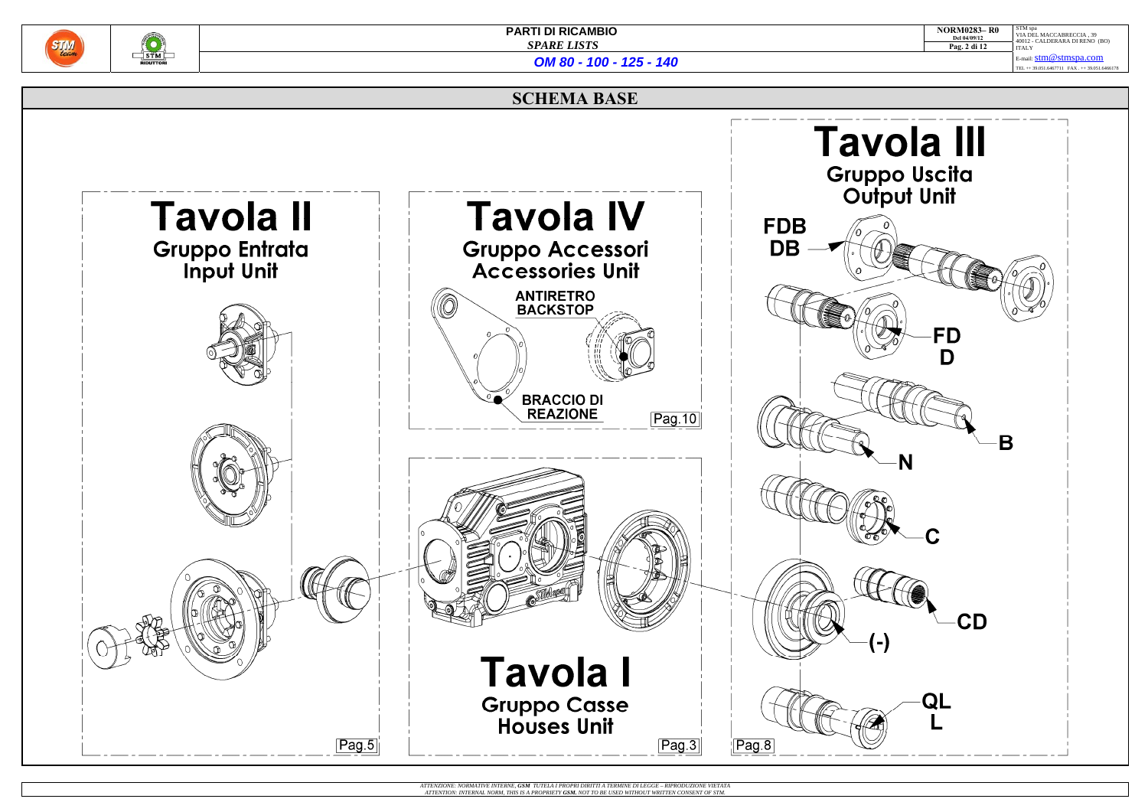

 $\frac{1}{\sqrt{2}}$ 

|                                  | <b>NORM0283-R0</b><br>Del 04/09/12<br>Pag. 2 di 12                                       | STM spa<br>VIA DEL MACCABRECCIA, 39<br>40012 - CALDERARA DI RENO (BO)<br><b>ITALY</b> |
|----------------------------------|------------------------------------------------------------------------------------------|---------------------------------------------------------------------------------------|
|                                  |                                                                                          | E-mail: <b>stm@stmspa.com</b><br>TEL ++ 39.051.6467711 FAX . ++ 39.051.6466178        |
|                                  |                                                                                          |                                                                                       |
| ppo Uscita<br>utput Unit         | vola III                                                                                 |                                                                                       |
| 0                                |                                                                                          | $\mathbf{o}$<br>٥                                                                     |
|                                  | FD                                                                                       |                                                                                       |
| N.                               |                                                                                          |                                                                                       |
| Pe<br>b<br>C<br>$\sigma_{\rm C}$ | Ć                                                                                        |                                                                                       |
|                                  | CD                                                                                       |                                                                                       |
| $\overline{(-)}$                 | QL                                                                                       |                                                                                       |
|                                  | $\mathsf{L}% _{0}\!\left( \mathcal{M}\right) =\mathsf{L}_{0}\!\left( \mathcal{M}\right)$ |                                                                                       |

### **SCHEMA BASE**



ATTENZIONE: NORMATIVE INTERNE, **GSM** TUTELA I PROPRI DIRITTI A TERMINE DI LEGGE – RIPRODUZIONE VIETATA<br>ATTENTION: INTERNAL NORM, THIS IS A PROPRIETY **GSM.** NOT TO BE USED WITHOUT WRITTEN CONSENT OF STM.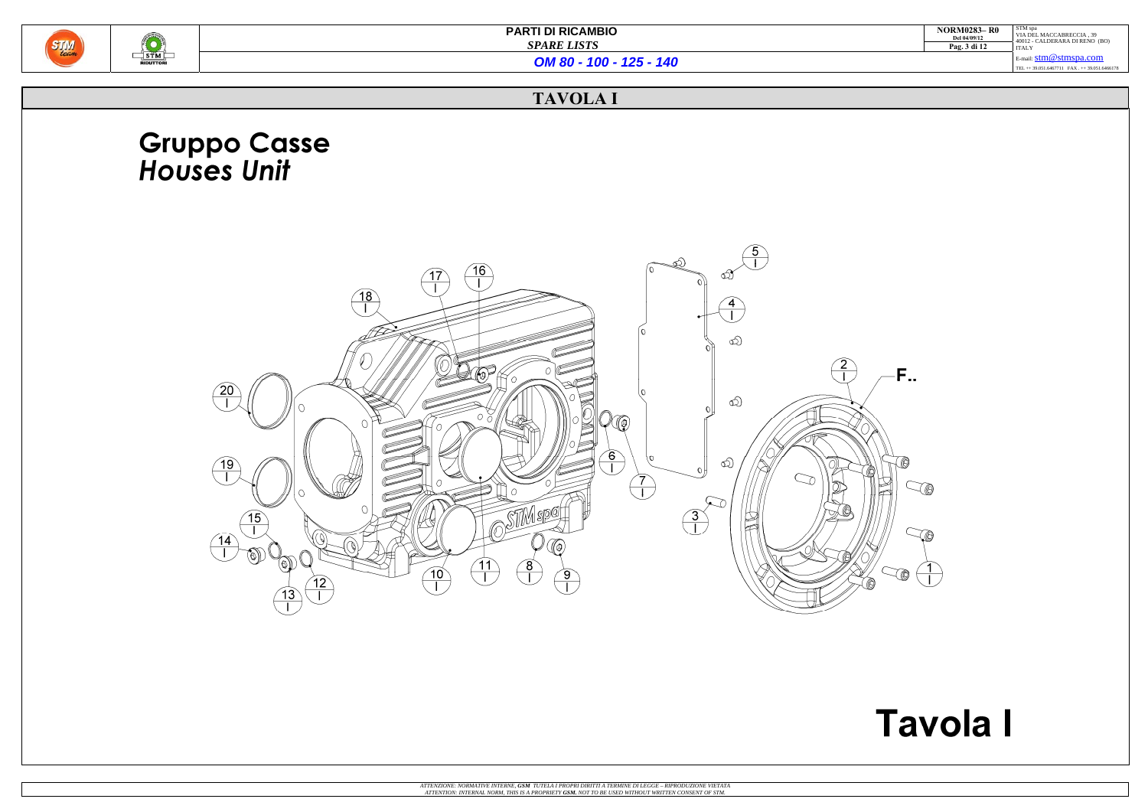

| <b>NORM0283-R0</b><br>Del 04/09/12 | STM spa<br>VIA DEL MACCABRECCIA, 39<br>40012 - CALDERARA DI RENO (BO) |
|------------------------------------|-----------------------------------------------------------------------|
| Pag. 3 di 12                       | <b>ITALY</b>                                                          |
|                                    | E-mail: $stm@stmspa.com$                                              |
|                                    | TEL ++ 39.051.6467711 FAX ++ 39.051.6466178                           |
|                                    |                                                                       |



# **Tavola I**

*OM 80 - 100 - 125 - 140*

## **TAVOLA I**

# **Gruppo Casse<br>Houses Unit**

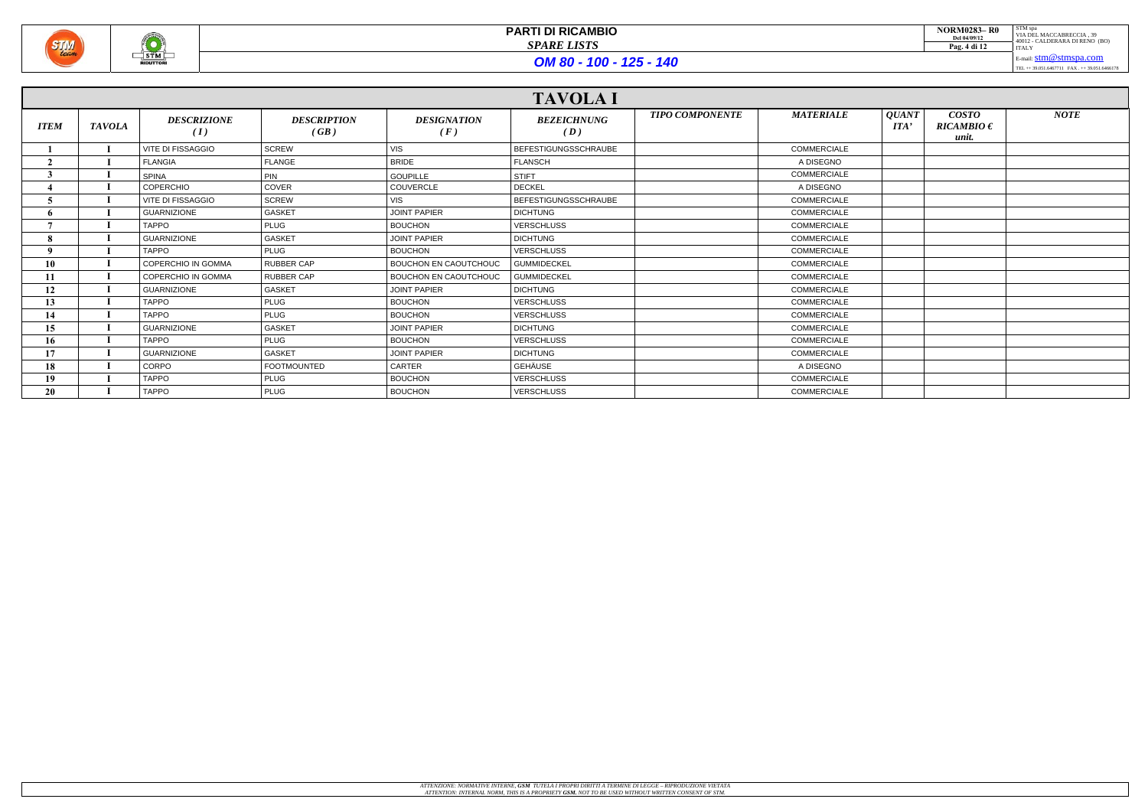

|             | <b>TAVOLA I</b> |                           |                            |                              |                             |                        |                    |                                                                       |                                         |             |
|-------------|-----------------|---------------------------|----------------------------|------------------------------|-----------------------------|------------------------|--------------------|-----------------------------------------------------------------------|-----------------------------------------|-------------|
| <b>ITEM</b> | <b>TAVOLA</b>   | <b>DESCRIZIONE</b><br>(I) | <b>DESCRIPTION</b><br>(GB) | <b>DESIGNATION</b><br>(F)    | <b>BEZEICHNUNG</b><br>(D)   | <b>TIPO COMPONENTE</b> | <b>MATERIALE</b>   | <i><b>QUANT</b></i><br>$\boldsymbol{I} \boldsymbol{I} \boldsymbol{I}$ | <b>COSTO</b><br>$RICAMBIO \in$<br>unit. | <b>NOTE</b> |
|             |                 | <b>VITE DI FISSAGGIO</b>  | <b>SCREW</b>               | <b>VIS</b>                   | <b>BEFESTIGUNGSSCHRAUBE</b> |                        | <b>COMMERCIALE</b> |                                                                       |                                         |             |
|             |                 | <b>FLANGIA</b>            | <b>FLANGE</b>              | <b>BRIDE</b>                 | <b>FLANSCH</b>              |                        | A DISEGNO          |                                                                       |                                         |             |
|             |                 | <b>SPINA</b>              | PIN                        | <b>GOUPILLE</b>              | <b>STIFT</b>                |                        | COMMERCIALE        |                                                                       |                                         |             |
|             |                 | <b>COPERCHIO</b>          | <b>COVER</b>               | <b>COUVERCLE</b>             | <b>DECKEL</b>               |                        | A DISEGNO          |                                                                       |                                         |             |
|             |                 | <b>VITE DI FISSAGGIO</b>  | <b>SCREW</b>               | <b>VIS</b>                   | <b>BEFESTIGUNGSSCHRAUBE</b> |                        | <b>COMMERCIALE</b> |                                                                       |                                         |             |
|             |                 | <b>GUARNIZIONE</b>        | <b>GASKET</b>              | <b>JOINT PAPIER</b>          | <b>DICHTUNG</b>             |                        | <b>COMMERCIALE</b> |                                                                       |                                         |             |
|             |                 | <b>TAPPO</b>              | <b>PLUG</b>                | <b>BOUCHON</b>               | <b>VERSCHLUSS</b>           |                        | <b>COMMERCIALE</b> |                                                                       |                                         |             |
|             |                 | <b>GUARNIZIONE</b>        | <b>GASKET</b>              | <b>JOINT PAPIER</b>          | <b>DICHTUNG</b>             |                        | <b>COMMERCIALE</b> |                                                                       |                                         |             |
|             |                 | <b>TAPPO</b>              | <b>PLUG</b>                | <b>BOUCHON</b>               | <b>VERSCHLUSS</b>           |                        | <b>COMMERCIALE</b> |                                                                       |                                         |             |
| 10          |                 | COPERCHIO IN GOMMA        | <b>RUBBER CAP</b>          | <b>BOUCHON EN CAOUTCHOUC</b> | <b>GUMMIDECKEL</b>          |                        | <b>COMMERCIALE</b> |                                                                       |                                         |             |
| 11          |                 | <b>COPERCHIO IN GOMMA</b> | <b>RUBBER CAP</b>          | <b>BOUCHON EN CAOUTCHOUC</b> | <b>GUMMIDECKEL</b>          |                        | <b>COMMERCIALE</b> |                                                                       |                                         |             |
| 12          |                 | <b>GUARNIZIONE</b>        | <b>GASKET</b>              | <b>JOINT PAPIER</b>          | <b>DICHTUNG</b>             |                        | COMMERCIALE        |                                                                       |                                         |             |
| 13          |                 | <b>TAPPO</b>              | <b>PLUG</b>                | <b>BOUCHON</b>               | <b>VERSCHLUSS</b>           |                        | <b>COMMERCIALE</b> |                                                                       |                                         |             |
| 14          |                 | <b>TAPPO</b>              | <b>PLUG</b>                | <b>BOUCHON</b>               | <b>VERSCHLUSS</b>           |                        | <b>COMMERCIALE</b> |                                                                       |                                         |             |
| 15          |                 | <b>GUARNIZIONE</b>        | <b>GASKET</b>              | <b>JOINT PAPIER</b>          | <b>DICHTUNG</b>             |                        | <b>COMMERCIALE</b> |                                                                       |                                         |             |
| 16          |                 | <b>TAPPO</b>              | <b>PLUG</b>                | <b>BOUCHON</b>               | <b>VERSCHLUSS</b>           |                        | <b>COMMERCIALE</b> |                                                                       |                                         |             |
| 17          |                 | <b>GUARNIZIONE</b>        | <b>GASKET</b>              | <b>JOINT PAPIER</b>          | <b>DICHTUNG</b>             |                        | <b>COMMERCIALE</b> |                                                                       |                                         |             |
| 18          |                 | CORPO                     | <b>FOOTMOUNTED</b>         | <b>CARTER</b>                | <b>GEHÄUSE</b>              |                        | A DISEGNO          |                                                                       |                                         |             |
| 19          |                 | <b>TAPPO</b>              | <b>PLUG</b>                | <b>BOUCHON</b>               | <b>VERSCHLUSS</b>           |                        | <b>COMMERCIALE</b> |                                                                       |                                         |             |
| 20          |                 | <b>TAPPO</b>              | <b>PLUG</b>                | <b>BOUCHON</b>               | <b>VERSCHLUSS</b>           |                        | <b>COMMERCIALE</b> |                                                                       |                                         |             |

| <b>NORM0283-R0</b><br>Del 04/09/12<br>Pag. 4 di 12 | STM spa<br>VIA DEL MACCABRECCIA. 39<br>40012 - CALDERARA DI RENO (BO)<br><b>ITALY</b> |
|----------------------------------------------------|---------------------------------------------------------------------------------------|
|                                                    | E-mail: $stm@stmspa.com$                                                              |
|                                                    | TEL ++ 39.051.6467711 FAX ++ 39.051.6466178                                           |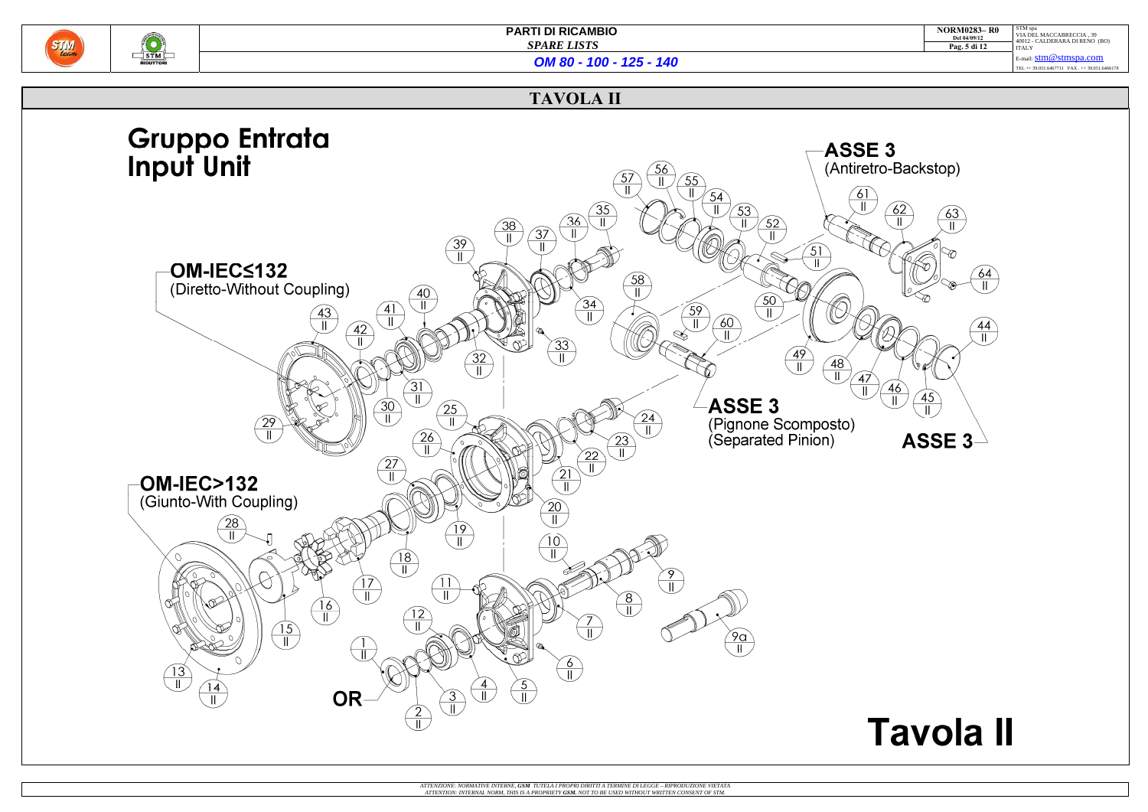

 $\frac{1}{\sqrt{3}}$ 

**PARTI DI RICAMBIO**   *SPARE LISTS*

| <b>NORM0283-R0</b><br>Del 04/09/12 | STM spa<br>VIA DEL MACCABRECCIA, 39<br>40012 - CALDERARA DI RENO (BO) |
|------------------------------------|-----------------------------------------------------------------------|
| Pag. 5 di 12                       | <b>ITALY</b>                                                          |
|                                    | E-mail: $stm@stmspa.com$                                              |
|                                    | TEL ++ 39.051.6467711 FAX ++ 39.051.6466178                           |
|                                    |                                                                       |

# **Tavola II**

*OM 80 - 100 - 125 - 140*

### **TAVOLA II**

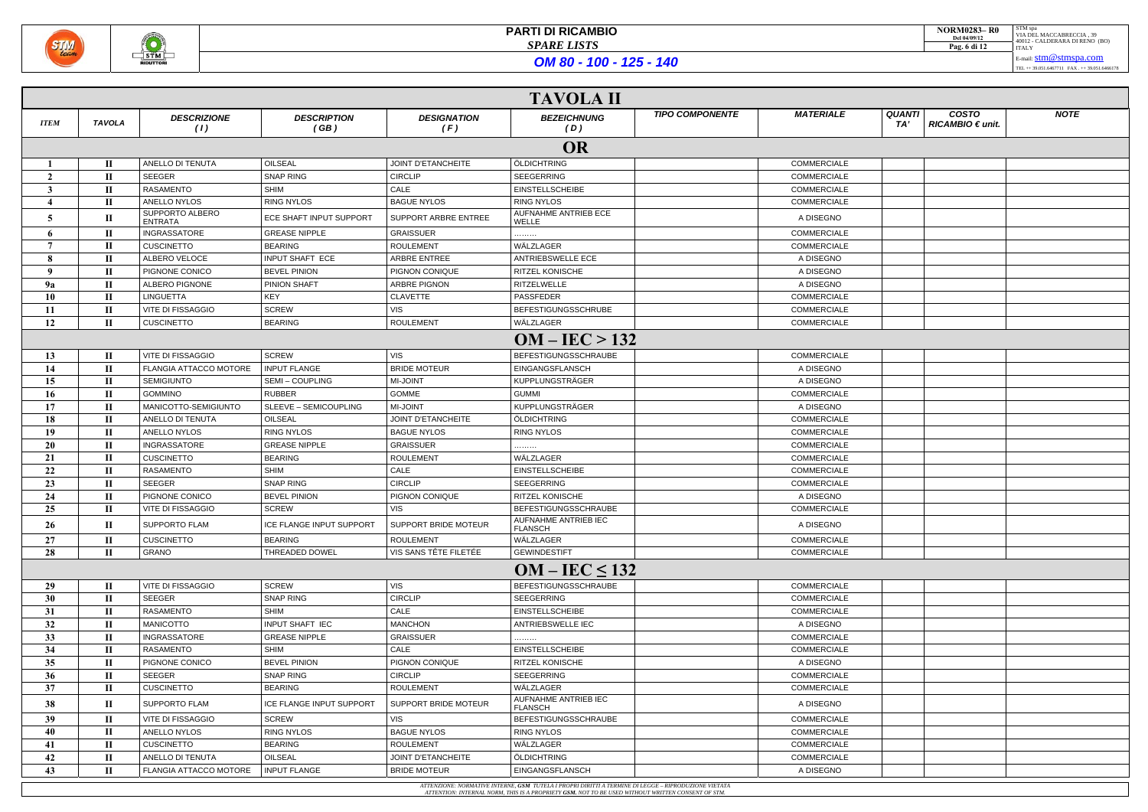

|               | <b>TAVOLA II</b> |                            |                            |                             |                                                                                                                                                                                                        |                    |                      |                                       |             |  |
|---------------|------------------|----------------------------|----------------------------|-----------------------------|--------------------------------------------------------------------------------------------------------------------------------------------------------------------------------------------------------|--------------------|----------------------|---------------------------------------|-------------|--|
| <b>ITEM</b>   | <b>TAVOLA</b>    | <b>DESCRIZIONE</b><br>(1)  | <b>DESCRIPTION</b><br>(GB) | <b>DESIGNATION</b><br>(F)   | <b>TIPO COMPONENTE</b><br><b>BEZEICHNUNG</b><br>(D)                                                                                                                                                    | <b>MATERIALE</b>   | <b>QUANTI</b><br>TA' | <b>COSTO</b><br>$RICAMBIO \in unit$ . | <b>NOTE</b> |  |
|               | <b>OR</b>        |                            |                            |                             |                                                                                                                                                                                                        |                    |                      |                                       |             |  |
|               | П.               | ANELLO DI TENUTA           | OILSEAL                    | <b>JOINT D'ETANCHEITE</b>   | ÖLDICHTRING                                                                                                                                                                                            | <b>COMMERCIALE</b> |                      |                                       |             |  |
| $\mathcal{L}$ | П                | SEEGER                     | <b>SNAP RING</b>           | <b>CIRCLIP</b>              | SEEGERRING                                                                                                                                                                                             | COMMERCIALE        |                      |                                       |             |  |
|               | П                | <b>RASAMENTO</b>           | SHIM                       | CALE                        | <b>EINSTELLSCHEIBE</b>                                                                                                                                                                                 | <b>COMMERCIALE</b> |                      |                                       |             |  |
|               | $\mathbf{I}$     | ANELLO NYLOS               | <b>RING NYLOS</b>          | <b>BAGUE NYLOS</b>          | <b>RING NYLOS</b>                                                                                                                                                                                      | <b>COMMERCIALE</b> |                      |                                       |             |  |
| 5             | П                | SUPPORTO ALBERO<br>ENTRATA | ECE SHAFT INPUT SUPPORT    | <b>SUPPORT ARBRE ENTREE</b> | AUFNAHME ANTRIEB ECE<br>WELLE                                                                                                                                                                          | A DISEGNO          |                      |                                       |             |  |
| 6             | П                | <b>INGRASSATORE</b>        | <b>GREASE NIPPLE</b>       | <b>GRAISSUER</b>            |                                                                                                                                                                                                        | <b>COMMERCIALE</b> |                      |                                       |             |  |
| 7             | $\mathbf{I}$     | <b>CUSCINETTO</b>          | <b>BEARING</b>             | <b>ROULEMENT</b>            | WÄLZLAGER                                                                                                                                                                                              | <b>COMMERCIALE</b> |                      |                                       |             |  |
| 8             | П                | ALBERO VELOCE              | INPUT SHAFT ECE            | ARBRE ENTREE                | ANTRIEBSWELLE ECE                                                                                                                                                                                      | A DISEGNO          |                      |                                       |             |  |
| $\mathbf{Q}$  | П                | PIGNONE CONICO             | <b>BEVEL PINION</b>        | PIGNON CONIQUE              | <b>RITZEL KONISCHE</b>                                                                                                                                                                                 | A DISEGNO          |                      |                                       |             |  |
| <b>9a</b>     | П                | <b>ALBERO PIGNONE</b>      | PINION SHAFT               | <b>ARBRE PIGNON</b>         | <b>RITZELWELLE</b>                                                                                                                                                                                     | A DISEGNO          |                      |                                       |             |  |
| 10            | П                | <b>LINGUETTA</b>           | KEY                        | <b>CLAVETTE</b>             | PASSFEDER                                                                                                                                                                                              | <b>COMMERCIALE</b> |                      |                                       |             |  |
| 11            | П                | <b>VITE DI FISSAGGIO</b>   | <b>SCREW</b>               | <b>VIS</b>                  | <b>BEFESTIGUNGSSCHRUBE</b>                                                                                                                                                                             | <b>COMMERCIALE</b> |                      |                                       |             |  |
| 12            | П                | <b>CUSCINETTO</b>          | <b>BEARING</b>             | <b>ROULEMENT</b>            | WÄLZLAGER                                                                                                                                                                                              | <b>COMMERCIALE</b> |                      |                                       |             |  |
|               |                  |                            |                            |                             | $OM - IEC > 132$                                                                                                                                                                                       |                    |                      |                                       |             |  |
| 13            | $\mathbf{I}$     | VITE DI FISSAGGIO          | <b>SCREW</b>               | <b>VIS</b>                  | BEFESTIGUNGSSCHRAUBE                                                                                                                                                                                   | <b>COMMERCIALE</b> |                      |                                       |             |  |
| 14            | П                | FLANGIA ATTACCO MOTORE     | <b>INPUT FLANGE</b>        | <b>BRIDE MOTEUR</b>         | EINGANGSFLANSCH                                                                                                                                                                                        | A DISEGNO          |                      |                                       |             |  |
| 15            | $\mathbf{I}$     | <b>SEMIGIUNTO</b>          | SEMI-COUPLING              | <b>MI-JOINT</b>             | <b>KUPPLUNGSTRÄGER</b>                                                                                                                                                                                 | A DISEGNO          |                      |                                       |             |  |
| 16            | $\mathbf{I}$     | <b>GOMMINO</b>             | <b>RUBBER</b>              | <b>GOMME</b>                | <b>GUMMI</b>                                                                                                                                                                                           | <b>COMMERCIALE</b> |                      |                                       |             |  |
| 17            | П                | MANICOTTO-SEMIGIUNTO       | SLEEVE - SEMICOUPLING      | <b>MI-JOINT</b>             | KUPPLUNGSTRÄGER                                                                                                                                                                                        | A DISEGNO          |                      |                                       |             |  |
| 18            | $\mathbf{I}$     | ANELLO DI TENUTA           | OILSEAL                    | <b>JOINT D'ETANCHEITE</b>   | ÖLDICHTRING                                                                                                                                                                                            | <b>COMMERCIALE</b> |                      |                                       |             |  |
| 19            | П                | ANELLO NYLOS               | <b>RING NYLOS</b>          | <b>BAGUE NYLOS</b>          | <b>RING NYLOS</b>                                                                                                                                                                                      | <b>COMMERCIALE</b> |                      |                                       |             |  |
| 20            | П                | INGRASSATORE               | <b>GREASE NIPPLE</b>       | <b>GRAISSUER</b>            |                                                                                                                                                                                                        | COMMERCIALE        |                      |                                       |             |  |
| 21            | П                | <b>CUSCINETTO</b>          | <b>BEARING</b>             | <b>ROULEMENT</b>            | WÄLZLAGER                                                                                                                                                                                              | COMMERCIALE        |                      |                                       |             |  |
| 22            | П                | RASAMENTO                  | SHIM                       | CALE                        | <b>EINSTELLSCHEIBE</b>                                                                                                                                                                                 | <b>COMMERCIALE</b> |                      |                                       |             |  |
| 23            | П                | SEEGER                     | SNAP RING                  | <b>CIRCLIP</b>              | <b>SEEGERRING</b>                                                                                                                                                                                      | <b>COMMERCIALE</b> |                      |                                       |             |  |
| 24            | П                | PIGNONE CONICO             | <b>BEVEL PINION</b>        | <b>PIGNON CONIQUE</b>       | <b>RITZEL KONISCHE</b>                                                                                                                                                                                 | A DISEGNO          |                      |                                       |             |  |
| 25            | П                | <b>VITE DI FISSAGGIO</b>   | <b>SCREW</b>               | <b>VIS</b>                  | <b>BEFESTIGUNGSSCHRAUBE</b>                                                                                                                                                                            | <b>COMMERCIALE</b> |                      |                                       |             |  |
| 26            | $\mathbf{I}$     | <b>SUPPORTO FLAM</b>       | ICE FLANGE INPUT SUPPORT   | SUPPORT BRIDE MOTEUR        | <b>AUFNAHME ANTRIEB IEC</b>                                                                                                                                                                            | A DISEGNO          |                      |                                       |             |  |
|               |                  |                            |                            |                             | <b>FLANSCH</b>                                                                                                                                                                                         |                    |                      |                                       |             |  |
| 27            | $\mathbf{I}$     | <b>CUSCINETTO</b>          | <b>BEARING</b>             | <b>ROULEMENT</b>            | WÄLZLAGER                                                                                                                                                                                              | <b>COMMERCIALE</b> |                      |                                       |             |  |
| 28            | $\mathbf{I}$     | GRANO                      | THREADED DOWEL             | VIS SANS TÊTE FILETÉE       | <b>GEWINDESTIFT</b>                                                                                                                                                                                    | COMMERCIALE        |                      |                                       |             |  |
|               |                  |                            |                            |                             | $OM - IEC \le 132$                                                                                                                                                                                     |                    |                      |                                       |             |  |
| 29            | $\mathbf{I}$     | <b>VITE DI FISSAGGIO</b>   | SCREW                      | <b>VIS</b>                  | <b>BEFESTIGUNGSSCHRAUBE</b>                                                                                                                                                                            | <b>COMMERCIALE</b> |                      |                                       |             |  |
| 30            | $\mathbf{I}$     | SEEGER                     | <b>SNAP RING</b>           | <b>CIRCLIP</b>              | SEEGERRING                                                                                                                                                                                             | <b>COMMERCIALE</b> |                      |                                       |             |  |
| 31            | П                | RASAMENTO                  | <b>SHIM</b>                | CALE                        | <b>EINSTELLSCHEIBE</b>                                                                                                                                                                                 | <b>COMMERCIALE</b> |                      |                                       |             |  |
| 32            | $\mathbf{I}$     | <b>MANICOTTO</b>           | INPUT SHAFT IEC            | <b>MANCHON</b>              | ANTRIEBSWELLE IEC                                                                                                                                                                                      | A DISEGNO          |                      |                                       |             |  |
| 33            | П                | INGRASSATORE               | <b>GREASE NIPPLE</b>       | <b>GRAISSUER</b>            |                                                                                                                                                                                                        | <b>COMMERCIALE</b> |                      |                                       |             |  |
| 34            | П                | RASAMENTO                  | SHIM                       | CALE                        | <b>EINSTELLSCHEIBE</b>                                                                                                                                                                                 | <b>COMMERCIALE</b> |                      |                                       |             |  |
| 35            | П.               | PIGNONE CONICO             | <b>BEVEL PINION</b>        | PIGNON CONIQUE              | RITZEL KONISCHE                                                                                                                                                                                        | A DISEGNO          |                      |                                       |             |  |
| 36            | $\mathbf{I}$     | SEEGER                     | <b>SNAP RING</b>           | <b>CIRCLIP</b>              | <b>SEEGERRING</b>                                                                                                                                                                                      | COMMERCIALE        |                      |                                       |             |  |
| 37            | $\mathbf{I}$     | <b>CUSCINETTO</b>          | <b>BEARING</b>             | ROULEMENT                   | WÄLZLAGER                                                                                                                                                                                              | COMMERCIALE        |                      |                                       |             |  |
| 38            | $\mathbf{I}$     | <b>SUPPORTO FLAM</b>       | ICE FLANGE INPUT SUPPORT   | SUPPORT BRIDE MOTEUR        | AUFNAHME ANTRIEB IEC<br><b>FLANSCH</b>                                                                                                                                                                 | A DISEGNO          |                      |                                       |             |  |
| 39            | П                | VITE DI FISSAGGIO          | SCREW                      | <b>VIS</b>                  | <b>BEFESTIGUNGSSCHRAUBE</b>                                                                                                                                                                            | <b>COMMERCIALE</b> |                      |                                       |             |  |
| 40            | П                | ANELLO NYLOS               | <b>RING NYLOS</b>          | <b>BAGUE NYLOS</b>          | <b>RING NYLOS</b>                                                                                                                                                                                      | COMMERCIALE        |                      |                                       |             |  |
| 41            | $\mathbf{I}$     | <b>CUSCINETTO</b>          | <b>BEARING</b>             | <b>ROULEMENT</b>            | WÄLZLAGER                                                                                                                                                                                              | <b>COMMERCIALE</b> |                      |                                       |             |  |
| 42            | П                | ANELLO DI TENUTA           | <b>OILSEAL</b>             | <b>JOINT D'ETANCHEITE</b>   | ÖLDICHTRING                                                                                                                                                                                            | <b>COMMERCIALE</b> |                      |                                       |             |  |
| 43            | П                | FLANGIA ATTACCO MOTORE     | <b>INPUT FLANGE</b>        | <b>BRIDE MOTEUR</b>         | EINGANGSFLANSCH                                                                                                                                                                                        | A DISEGNO          |                      |                                       |             |  |
|               |                  |                            |                            |                             | ATTENZIONE: NORMATIVE INTERNE, GSM TUTELA I PROPRI DIRITTI A TERMINE DI LEGGE - RIPRODUZIONE VIETATA<br>ATTENTION: INTERNAL NORM THIS IS A PROPRIETY GSM_NOT TO BE USED WITHOUT WRITTEN CONSENT OF STM |                    |                      |                                       |             |  |

| <b>NORM0283-R0</b><br>Del 04/09/12<br>Pag. 6 di 12 | STM spa<br>VIA DEL MACCABRECCIA. 39<br>40012 - CALDERARA DI RENO (BO)                   |
|----------------------------------------------------|-----------------------------------------------------------------------------------------|
|                                                    | <b>ITALY</b><br>E-mail: $stm@stmspa.com$<br>TEL ++ 39.051.6467711 FAX ++ 39.051.6466178 |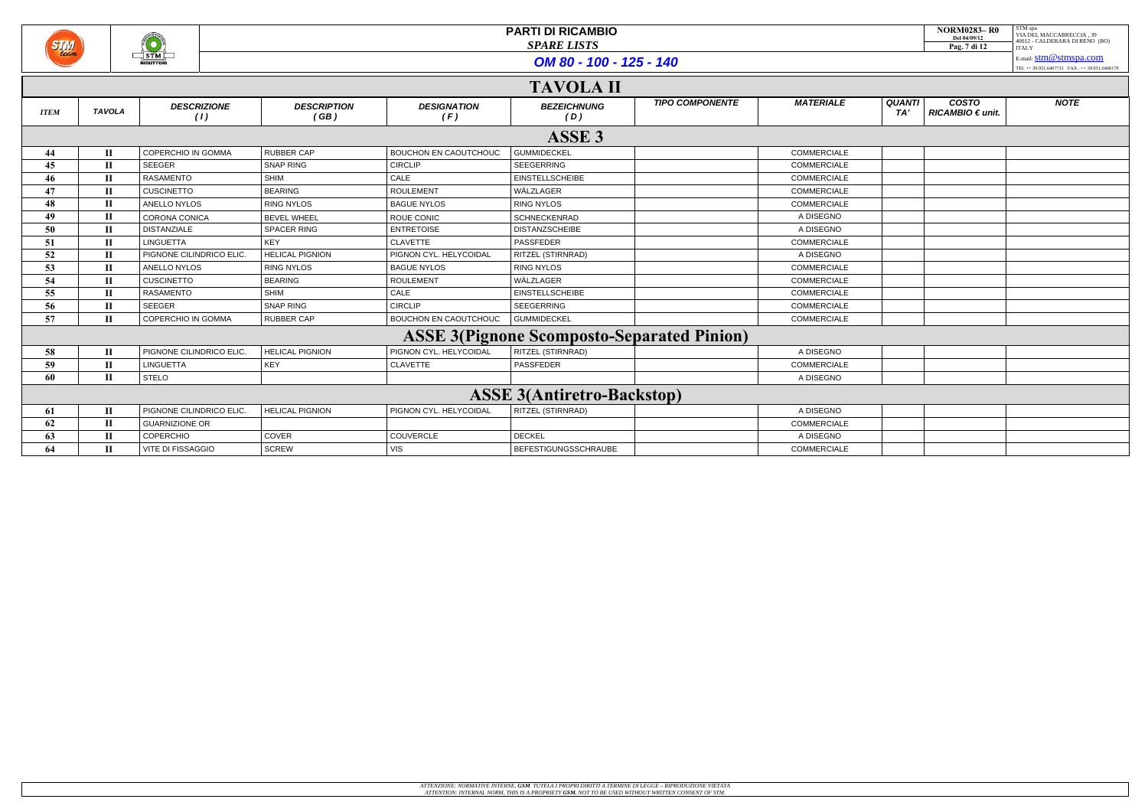

|             | <b>TAVOLA II</b>                  |                           |                            |                              |                                                   |                        |                    |                                                               |             |
|-------------|-----------------------------------|---------------------------|----------------------------|------------------------------|---------------------------------------------------|------------------------|--------------------|---------------------------------------------------------------|-------------|
| <b>ITEM</b> | <b>TAVOLA</b>                     | <b>DESCRIZIONE</b><br>(1) | <b>DESCRIPTION</b><br>(GB) | <b>DESIGNATION</b><br>(F)    | <b>BEZEICHNUNG</b><br>(D)                         | <b>TIPO COMPONENTE</b> | <b>MATERIALE</b>   | <b>COSTO</b><br><b>QUANTI</b><br>$RICAMBIO \in unit$ .<br>TA' | <b>NOTE</b> |
|             |                                   |                           |                            |                              | ASSE <sub>3</sub>                                 |                        |                    |                                                               |             |
| 44          | П                                 | COPERCHIO IN GOMMA        | <b>RUBBER CAP</b>          | <b>BOUCHON EN CAOUTCHOUC</b> | <b>GUMMIDECKEL</b>                                |                        | <b>COMMERCIALE</b> |                                                               |             |
| 45          | $\mathbf I$                       | <b>SEEGER</b>             | <b>SNAP RING</b>           | <b>CIRCLIP</b>               | <b>SEEGERRING</b>                                 |                        | <b>COMMERCIALE</b> |                                                               |             |
| 46          | П                                 | RASAMENTO                 | <b>SHIM</b>                | CALE                         | <b>EINSTELLSCHEIBE</b>                            |                        | <b>COMMERCIALE</b> |                                                               |             |
| 47          | П                                 | <b>CUSCINETTO</b>         | <b>BEARING</b>             | <b>ROULEMENT</b>             | WÄLZLAGER                                         |                        | <b>COMMERCIALE</b> |                                                               |             |
| 48          | П                                 | ANELLO NYLOS              | <b>RING NYLOS</b>          | <b>BAGUE NYLOS</b>           | <b>RING NYLOS</b>                                 |                        | <b>COMMERCIALE</b> |                                                               |             |
| 49          | П                                 | CORONA CONICA             | <b>BEVEL WHEEL</b>         | <b>ROUE CONIC</b>            | SCHNECKENRAD                                      |                        | A DISEGNO          |                                                               |             |
| 50          | П                                 | <b>DISTANZIALE</b>        | <b>SPACER RING</b>         | <b>ENTRETOISE</b>            | <b>DISTANZSCHEIBE</b>                             |                        | A DISEGNO          |                                                               |             |
| 51          | П                                 | <b>LINGUETTA</b>          | <b>KEY</b>                 | <b>CLAVETTE</b>              | PASSFEDER                                         |                        | <b>COMMERCIALE</b> |                                                               |             |
| 52          | П                                 | PIGNONE CILINDRICO ELIC.  | <b>HELICAL PIGNION</b>     | PIGNON CYL. HELYCOIDAL       | <b>RITZEL (STIRNRAD)</b>                          |                        | A DISEGNO          |                                                               |             |
| 53          | $\mathbf I$                       | ANELLO NYLOS              | <b>RING NYLOS</b>          | <b>BAGUE NYLOS</b>           | <b>RING NYLOS</b>                                 |                        | COMMERCIALE        |                                                               |             |
| 54          | $\mathbf{I}$                      | <b>CUSCINETTO</b>         | <b>BEARING</b>             | <b>ROULEMENT</b>             | WÄLZLAGER                                         |                        | <b>COMMERCIALE</b> |                                                               |             |
| 55          | $\mathbf{I}$                      | <b>RASAMENTO</b>          | <b>SHIM</b>                | CALE                         | <b>EINSTELLSCHEIBE</b>                            |                        | <b>COMMERCIALE</b> |                                                               |             |
| 56          | П                                 | <b>SEEGER</b>             | SNAP RING                  | <b>CIRCLIP</b>               | <b>SEEGERRING</b>                                 |                        | <b>COMMERCIALE</b> |                                                               |             |
| 57          | H                                 | <b>COPERCHIO IN GOMMA</b> | RUBBER CAP                 | BOUCHON EN CAOUTCHOUC        | GUMMIDECKEL                                       |                        | <b>COMMERCIALE</b> |                                                               |             |
|             |                                   |                           |                            |                              | <b>ASSE 3(Pignone Scomposto-Separated Pinion)</b> |                        |                    |                                                               |             |
| 58          | $\mathbf{I}$                      | PIGNONE CILINDRICO ELIC.  | <b>HELICAL PIGNION</b>     | PIGNON CYL. HELYCOIDAL       | <b>RITZEL (STIRNRAD)</b>                          |                        | A DISEGNO          |                                                               |             |
| 59          | П                                 | <b>LINGUETTA</b>          | KEY                        | <b>CLAVETTE</b>              | PASSFEDER                                         |                        | <b>COMMERCIALE</b> |                                                               |             |
| 60          | $\mathbf{I}$                      | <b>STELO</b>              |                            |                              |                                                   |                        | A DISEGNO          |                                                               |             |
|             | <b>ASSE 3(Antiretro-Backstop)</b> |                           |                            |                              |                                                   |                        |                    |                                                               |             |
| 61          | П                                 | PIGNONE CILINDRICO ELIC   | <b>HELICAL PIGNION</b>     | PIGNON CYL. HELYCOIDAL       | <b>RITZEL (STIRNRAD)</b>                          |                        | A DISEGNO          |                                                               |             |
| 62          | П                                 | <b>GUARNIZIONE OR</b>     |                            |                              |                                                   |                        | <b>COMMERCIALE</b> |                                                               |             |
| 63          | П                                 | COPERCHIO                 | COVER                      | COUVERCLE                    | <b>DECKEL</b>                                     |                        | A DISEGNO          |                                                               |             |
| 64          | $\mathbf I$                       | VITE DI FISSAGGIO         | <b>SCREW</b>               | <b>VIS</b>                   | <b>BEFESTIGUNGSSCHRAUBE</b>                       |                        | <b>COMMERCIALE</b> |                                                               |             |

| <b>NORM0283-R0</b><br>Del 04/09/12 | STM spa<br>VIA DEL MACCABRECCIA. 39<br>40012 - CALDERARA DI RENO (BO) |
|------------------------------------|-----------------------------------------------------------------------|
| Pag. 7 di 12                       | <b>ITALY</b>                                                          |
|                                    | E-mail: $stm@stmspa.com$                                              |
|                                    | TEL ++ 39.051.6467711 FAX . ++ 39.051.6466178                         |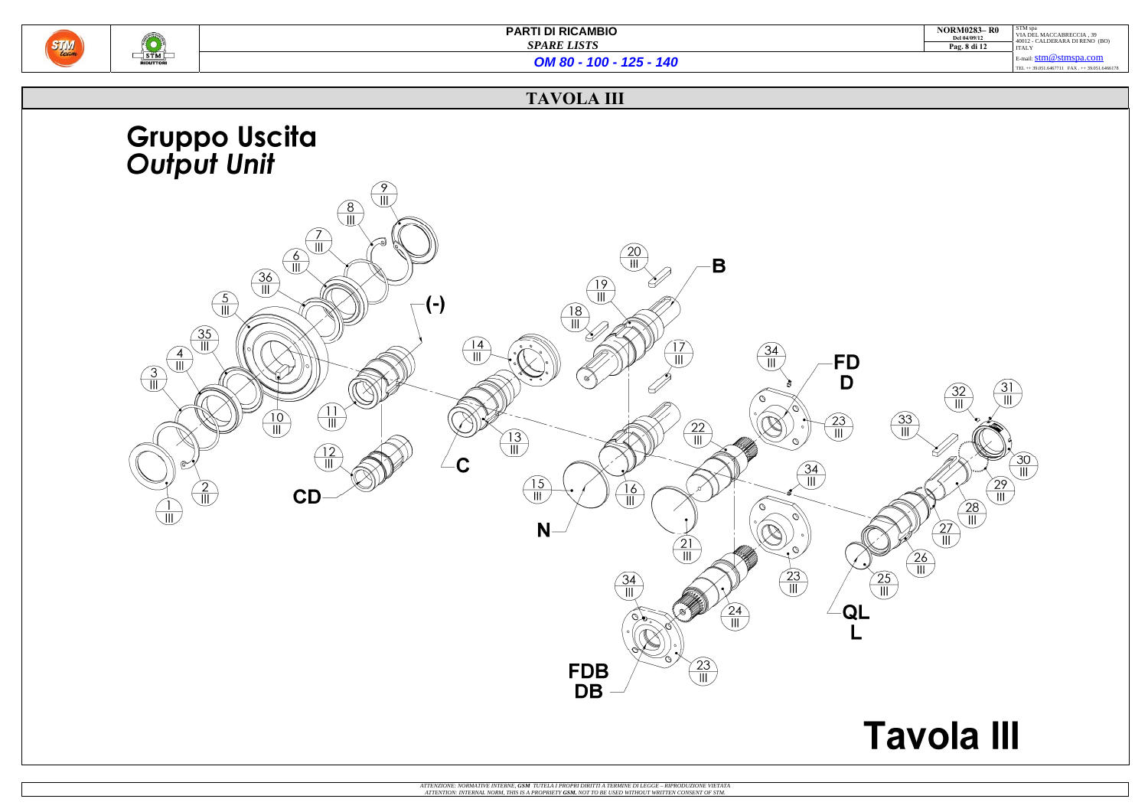

| <b>NORM0283-R0</b><br>Del 04/09/12<br>Pag. 8 di 12 | STM spa<br>VIA DEL MACCABRECCIA, 39<br>40012 - CALDERARA DI RENO (BO)<br><b>ITALY</b> |
|----------------------------------------------------|---------------------------------------------------------------------------------------|
|                                                    | E-mail: $stm@stmspa.com$<br>TEL ++ 39.051.6467711 FAX ++ 39.051.6466178               |
|                                                    |                                                                                       |

# **Tavola III**

*OM 80 - 100 - 125 - 140*

### **TAVOLA III**

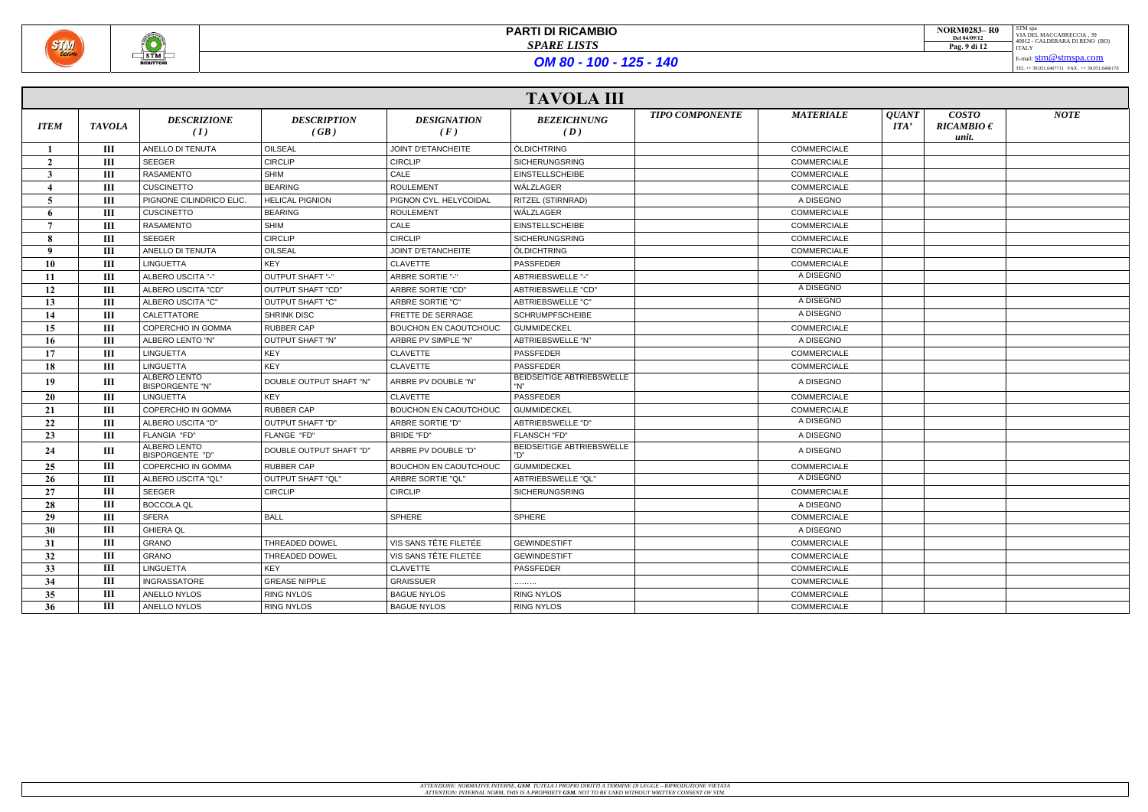

|                | <b>TAVOLA III</b> |                                        |                            |                              |                                         |                        |                    |                                                                                |                                         |             |
|----------------|-------------------|----------------------------------------|----------------------------|------------------------------|-----------------------------------------|------------------------|--------------------|--------------------------------------------------------------------------------|-----------------------------------------|-------------|
| <b>ITEM</b>    | <b>TAVOLA</b>     | <b>DESCRIZIONE</b><br>(I)              | <b>DESCRIPTION</b><br>(GB) | <b>DESIGNATION</b><br>(F)    | <b>BEZEICHNUNG</b><br>(D)               | <b>TIPO COMPONENTE</b> | <b>MATERIALE</b>   | <b>QUANT</b><br>$\boldsymbol{I} \boldsymbol{I} \boldsymbol{I} \boldsymbol{A'}$ | <b>COSTO</b><br>$RICAMBIO \in$<br>unit. | <b>NOTE</b> |
|                | Ш                 | ANELLO DI TENUTA                       | <b>OILSEAL</b>             | <b>JOINT D'ETANCHEITE</b>    | ÖLDICHTRING                             |                        | <b>COMMERCIALE</b> |                                                                                |                                         |             |
| $\overline{2}$ | Ш                 | SEEGER                                 | <b>CIRCLIP</b>             | <b>CIRCLIP</b>               | <b>SICHERUNGSRING</b>                   |                        | <b>COMMERCIALE</b> |                                                                                |                                         |             |
| 3              | Ш                 | RASAMENTO                              | <b>SHIM</b>                | CALE                         | <b>EINSTELLSCHEIBE</b>                  |                        | COMMERCIALE        |                                                                                |                                         |             |
|                | Ш                 | <b>CUSCINETTO</b>                      | <b>BEARING</b>             | <b>ROULEMENT</b>             | WÄLZLAGER                               |                        | COMMERCIALE        |                                                                                |                                         |             |
| 5              | Ш                 | PIGNONE CILINDRICO ELIC                | <b>HELICAL PIGNION</b>     | PIGNON CYL. HELYCOIDAL       | RITZEL (STIRNRAD)                       |                        | A DISEGNO          |                                                                                |                                         |             |
| 6              | Ш                 | <b>CUSCINETTO</b>                      | <b>BEARING</b>             | <b>ROULEMENT</b>             | WÄLZLAGER                               |                        | <b>COMMERCIALE</b> |                                                                                |                                         |             |
|                | Ш                 | <b>RASAMENTO</b>                       | SHIM                       | CALE                         | <b>EINSTELLSCHEIBE</b>                  |                        | <b>COMMERCIALE</b> |                                                                                |                                         |             |
| 8              | Ш                 | <b>SEEGER</b>                          | <b>CIRCLIP</b>             | <b>CIRCLIP</b>               | <b>SICHERUNGSRING</b>                   |                        | <b>COMMERCIALE</b> |                                                                                |                                         |             |
| $\mathbf{o}$   | III               | ANELLO DI TENUTA                       | OILSEAL                    | <b>JOINT D'ETANCHEITE</b>    | ÖLDICHTRING                             |                        | COMMERCIALE        |                                                                                |                                         |             |
| 10             | Ш                 | <b>LINGUETTA</b>                       | <b>KEY</b>                 | <b>CLAVETTE</b>              | PASSFEDER                               |                        | <b>COMMERCIALE</b> |                                                                                |                                         |             |
| 11             | Ш                 | ALBERO USCITA "-"                      | OUTPUT SHAFT "-"           | ARBRE SORTIE "-"             | ABTRIEBSWELLE "-"                       |                        | A DISEGNO          |                                                                                |                                         |             |
| 12             | Ш                 | ALBERO USCITA "CD"                     | OUTPUT SHAFT "CD"          | ARBRE SORTIE "CD"            | ABTRIEBSWELLE "CD"                      |                        | A DISEGNO          |                                                                                |                                         |             |
| 13             | Ш                 | ALBERO USCITA "C"                      | <b>OUTPUT SHAFT "C"</b>    | ARBRE SORTIE "C"             | <b>ABTRIEBSWELLE "C"</b>                |                        | A DISEGNO          |                                                                                |                                         |             |
| 14             | Ш                 | <b>CALETTATORE</b>                     | <b>SHRINK DISC</b>         | FRETTE DE SERRAGE            | <b>SCHRUMPFSCHEIBE</b>                  |                        | A DISEGNO          |                                                                                |                                         |             |
| 15             | Ш                 | COPERCHIO IN GOMMA                     | <b>RUBBER CAP</b>          | BOUCHON EN CAOUTCHOUC        | <b>GUMMIDECKEL</b>                      |                        | <b>COMMERCIALE</b> |                                                                                |                                         |             |
| 16             | Ш                 | ALBERO LENTO "N"                       | OUTPUT SHAFT "N"           | ARBRE PV SIMPLE "N"          | ABTRIEBSWELLE "N"                       |                        | A DISEGNO          |                                                                                |                                         |             |
| 17             | Ш                 | <b>LINGUETTA</b>                       | KEY                        | <b>CLAVETTE</b>              | PASSFEDER                               |                        | <b>COMMERCIALE</b> |                                                                                |                                         |             |
| 18             | Ш                 | LINGUETTA                              | KEY                        | <b>CLAVETTE</b>              | PASSFEDER                               |                        | COMMERCIALE        |                                                                                |                                         |             |
| 19             | Ш                 | ALBERO LENTO<br><b>BISPORGENTE "N"</b> | DOUBLE OUTPUT SHAFT "N"    | ARBRE PV DOUBLE "N"          | <b>BEIDSEITIGE ABTRIEBSWELLE</b><br>"N" |                        | A DISEGNO          |                                                                                |                                         |             |
| <b>20</b>      | Ш                 | <b>LINGUETTA</b>                       | <b>KEY</b>                 | <b>CLAVETTE</b>              | PASSFEDER                               |                        | <b>COMMERCIALE</b> |                                                                                |                                         |             |
| 21             | $\mathbf{III}$    | COPERCHIO IN GOMMA                     | <b>RUBBER CAP</b>          | <b>BOUCHON EN CAOUTCHOUC</b> | <b>GUMMIDECKEL</b>                      |                        | COMMERCIALE        |                                                                                |                                         |             |
| 22             | Ш                 | ALBERO USCITA "D"                      | OUTPUT SHAFT "D"           | ARBRE SORTIE "D"             | ABTRIEBSWELLE "D"                       |                        | A DISEGNO          |                                                                                |                                         |             |
| 23             | Ш                 | FLANGIA "FD"                           | FLANGE "FD"                | <b>BRIDE "FD"</b>            | FLANSCH "FD"                            |                        | A DISEGNO          |                                                                                |                                         |             |
| 24             | Ш                 | ALBERO LENTO<br>BISPORGENTE "D"        | DOUBLE OUTPUT SHAFT "D"    | ARBRE PV DOUBLE "D"          | <b>BEIDSEITIGE ABTRIEBSWELLE</b><br>"D" |                        | A DISEGNO          |                                                                                |                                         |             |
| 25             | Ш                 | COPERCHIO IN GOMMA                     | RUBBER CAP                 | <b>BOUCHON EN CAOUTCHOUC</b> | <b>GUMMIDECKEL</b>                      |                        | COMMERCIALE        |                                                                                |                                         |             |
| 26             | Ш                 | ALBERO USCITA "QL"                     | OUTPUT SHAFT "QL"          | ARBRE SORTIE "QL"            | ABTRIEBSWELLE "QL"                      |                        | A DISEGNO          |                                                                                |                                         |             |
| 27             | Ш                 | SEEGER                                 | <b>CIRCLIP</b>             | <b>CIRCLIP</b>               | <b>SICHERUNGSRING</b>                   |                        | <b>COMMERCIALE</b> |                                                                                |                                         |             |
| 28             | Ш                 | <b>BOCCOLA QL</b>                      |                            |                              |                                         |                        | A DISEGNO          |                                                                                |                                         |             |
| 29             | Ш                 | <b>SFERA</b>                           | <b>BALL</b>                | SPHERE                       | SPHERE                                  |                        | <b>COMMERCIALE</b> |                                                                                |                                         |             |
| 30             | Ш                 | <b>GHIERA QL</b>                       |                            |                              |                                         |                        | A DISEGNO          |                                                                                |                                         |             |
| 31             | Ш                 | GRANO                                  | THREADED DOWEL             | VIS SANS TÊTE FILETÉE        | <b>GEWINDESTIFT</b>                     |                        | COMMERCIALE        |                                                                                |                                         |             |
| 32             | Ш                 | GRANO                                  | THREADED DOWEL             | VIS SANS TÊTE FILETÉE        | <b>GEWINDESTIFT</b>                     |                        | <b>COMMERCIALE</b> |                                                                                |                                         |             |
| 33             | Ш                 | LINGUETTA                              | KEY                        | CLAVETTE                     | PASSFEDER                               |                        | <b>COMMERCIALE</b> |                                                                                |                                         |             |
| 34             | Ш                 | INGRASSATORE                           | <b>GREASE NIPPLE</b>       | <b>GRAISSUER</b>             | .                                       |                        | <b>COMMERCIALE</b> |                                                                                |                                         |             |
| 35             | Ш                 | ANELLO NYLOS                           | <b>RING NYLOS</b>          | <b>BAGUE NYLOS</b>           | <b>RING NYLOS</b>                       |                        | <b>COMMERCIALE</b> |                                                                                |                                         |             |
| 36             | Ш                 | ANELLO NYLOS                           | RING NYLOS                 | <b>BAGUE NYLOS</b>           | <b>RING NYLOS</b>                       |                        | COMMERCIALE        |                                                                                |                                         |             |

| <b>NORM0283-R0</b><br>Del 04/09/12<br>Pag. 9 di 12 | STM spa<br>VIA DEL MACCABRECCIA. 39<br>40012 - CALDERARA DI RENO (BO)<br><b>ITALY</b> |
|----------------------------------------------------|---------------------------------------------------------------------------------------|
|                                                    | E-mail: $stm@stmspa.com$                                                              |
|                                                    | TEL ++ 39.051.6467711 FAX ++ 39.051.6466178                                           |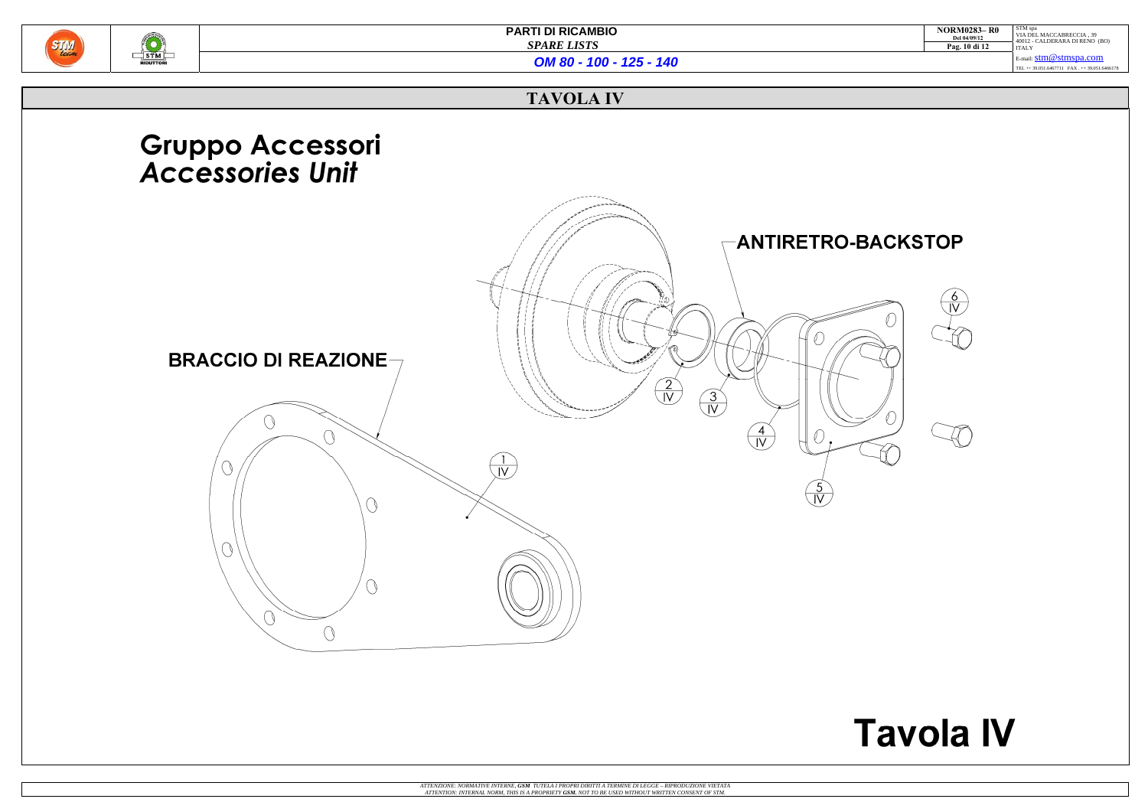

| <b>NORM0283-R0</b><br>Del 04/09/12<br>Pag. 10 di 12 | STM spa<br>VIA DEL MACCABRECCIA. 39<br>40012 - CALDERARA DI RENO (BO)<br><b>ITALY</b> |
|-----------------------------------------------------|---------------------------------------------------------------------------------------|
|                                                     | E-mail: $stm@stmspa.com$                                                              |
|                                                     | TEL ++ 39.051.6467711 FAX ++ 39.051.6466178                                           |

# **Tavola IV**

*OM 80 - 100 - 125 - 140*

### **TAVOLA IV**

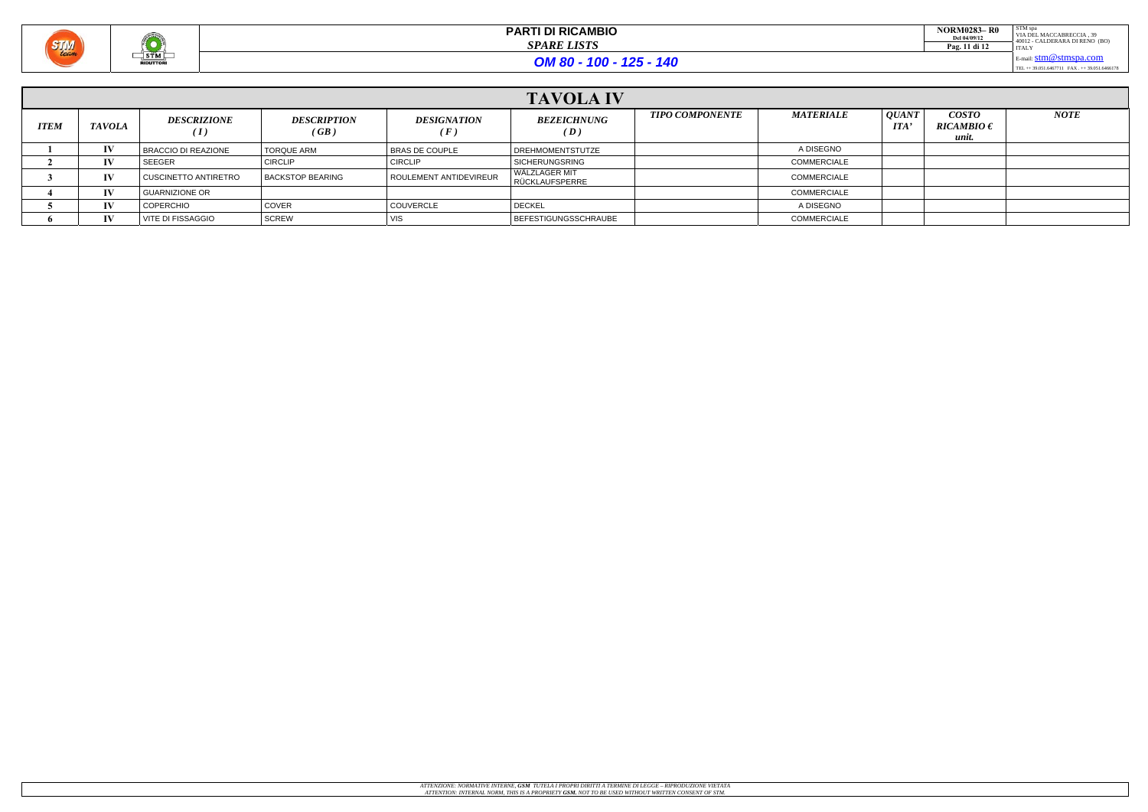

| <b>NORM0283-R0</b><br>Del 04/09/12<br>Pag. 11 di 12 | STM spa<br>VIA DEL MACCABRECCIA. 39<br>40012 - CALDERARA DI RENO (BO)<br><b>ITALY</b> |
|-----------------------------------------------------|---------------------------------------------------------------------------------------|
|                                                     | E-mail: $stm@stmspa.com$                                                              |

TEL ++ 39.051.6467711 FAX . ++ 39.051.6466178

| <b>TAVOLA IV</b> |               |                                        |                            |                                  |                                 |                        |                    |                            |                                                |             |
|------------------|---------------|----------------------------------------|----------------------------|----------------------------------|---------------------------------|------------------------|--------------------|----------------------------|------------------------------------------------|-------------|
| <b>ITEM</b>      | <b>TAVOLA</b> | <b>DESCRIZIONE</b><br>$\boldsymbol{I}$ | <b>DESCRIPTION</b><br>(GB) | <b>DESIGNATION</b><br>$\sqrt{F}$ | <b>BEZEICHNUNG</b><br>(D)       | <b>TIPO COMPONENTE</b> | <b>MATERIALE</b>   | <i>QUANT</i><br><b>ITA</b> | <i><b>COSTO</b></i><br>RICAMBIO $\in$<br>unit. | <b>NOTE</b> |
|                  | $\bf{IV}$     | BRACCIO DI REAZIONE                    | <b>TORQUE ARM</b>          | <b>BRAS DE COUPLE</b>            | DREHMOMENTSTUTZE                |                        | A DISEGNO          |                            |                                                |             |
|                  | IV            | <b>SEEGER</b>                          | <b>CIRCLIP</b>             | <b>CIRCLIP</b>                   | <b>SICHERUNGSRING</b>           |                        | <b>COMMERCIALE</b> |                            |                                                |             |
|                  | $\bf{IV}$     | CUSCINETTO ANTIRETRO                   | <b>BACKSTOP BEARING</b>    | ROULEMENT ANTIDEVIREUR           | WÄLZLAGER MIT<br>RÜCKLAUFSPERRE |                        | <b>COMMERCIALE</b> |                            |                                                |             |
|                  | $\bf{IV}$     | <b>GUARNIZIONE OR</b>                  |                            |                                  |                                 |                        | <b>COMMERCIALE</b> |                            |                                                |             |
|                  | IV            | <b>COPERCHIO</b>                       | <b>COVER</b>               | <b>COUVERCLE</b>                 | <b>DECKEL</b>                   |                        | A DISEGNO          |                            |                                                |             |
|                  | IV            | VITE DI FISSAGGIO                      | SCREW                      |                                  | BEFESTIGUNGSSCHRAUBE            |                        | <b>COMMERCIALE</b> |                            |                                                |             |